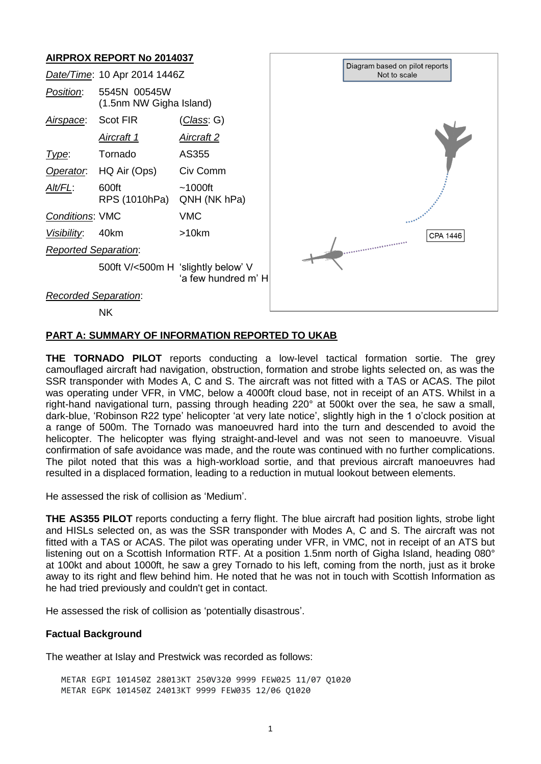# **AIRPROX REPORT No 2014037**



# **PART A: SUMMARY OF INFORMATION REPORTED TO UKAB**

**THE TORNADO PILOT** reports conducting a low-level tactical formation sortie. The grey camouflaged aircraft had navigation, obstruction, formation and strobe lights selected on, as was the SSR transponder with Modes A, C and S. The aircraft was not fitted with a TAS or ACAS. The pilot was operating under VFR, in VMC, below a 4000ft cloud base, not in receipt of an ATS. Whilst in a right-hand navigational turn, passing through heading 220° at 500kt over the sea, he saw a small, dark-blue, 'Robinson R22 type' helicopter 'at very late notice', slightly high in the 1 o'clock position at a range of 500m. The Tornado was manoeuvred hard into the turn and descended to avoid the helicopter. The helicopter was flying straight-and-level and was not seen to manoeuvre. Visual confirmation of safe avoidance was made, and the route was continued with no further complications. The pilot noted that this was a high-workload sortie, and that previous aircraft manoeuvres had resulted in a displaced formation, leading to a reduction in mutual lookout between elements.

He assessed the risk of collision as 'Medium'.

**THE AS355 PILOT** reports conducting a ferry flight. The blue aircraft had position lights, strobe light and HISLs selected on, as was the SSR transponder with Modes A, C and S. The aircraft was not fitted with a TAS or ACAS. The pilot was operating under VFR, in VMC, not in receipt of an ATS but listening out on a Scottish Information RTF. At a position 1.5nm north of Gigha Island, heading 080° at 100kt and about 1000ft, he saw a grey Tornado to his left, coming from the north, just as it broke away to its right and flew behind him. He noted that he was not in touch with Scottish Information as he had tried previously and couldn't get in contact.

He assessed the risk of collision as 'potentially disastrous'.

# **Factual Background**

The weather at Islay and Prestwick was recorded as follows:

METAR EGPI 101450Z 28013KT 250V320 9999 FEW025 11/07 Q1020 METAR EGPK 101450Z 24013KT 9999 FEW035 12/06 Q1020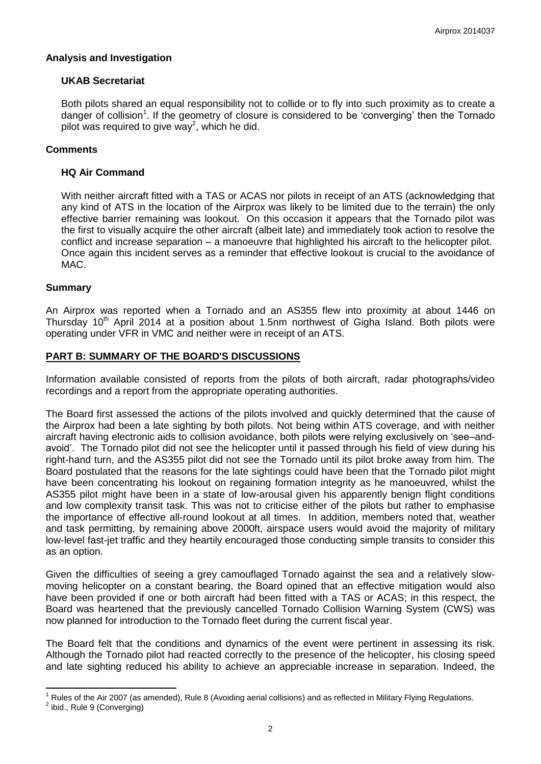### **Analysis and Investigation**

### **UKAB Secretariat**

Both pilots shared an equal responsibility not to collide or to fly into such proximity as to create a danger of collision<sup>1</sup>. If the geometry of closure is considered to be 'converging' then the Tornado pilot was required to give way<sup>2</sup>, which he did.

## **Comments**

#### **HQ Air Command**

With neither aircraft fitted with a TAS or ACAS nor pilots in receipt of an ATS (acknowledging that any kind of ATS in the location of the Airprox was likely to be limited due to the terrain) the only effective barrier remaining was lookout. On this occasion it appears that the Tornado pilot was the first to visually acquire the other aircraft (albeit late) and immediately took action to resolve the conflict and increase separation – a manoeuvre that highlighted his aircraft to the helicopter pilot. Once again this incident serves as a reminder that effective lookout is crucial to the avoidance of MAC.

#### **Summary**

 $\overline{\phantom{a}}$ 

An Airprox was reported when a Tornado and an AS355 flew into proximity at about 1446 on Thursday  $10<sup>th</sup>$  April 2014 at a position about 1.5nm northwest of Gigha Island. Both pilots were operating under VFR in VMC and neither were in receipt of an ATS.

### **PART B: SUMMARY OF THE BOARD'S DISCUSSIONS**

Information available consisted of reports from the pilots of both aircraft, radar photographs/video recordings and a report from the appropriate operating authorities.

The Board first assessed the actions of the pilots involved and quickly determined that the cause of the Airprox had been a late sighting by both pilots. Not being within ATS coverage, and with neither aircraft having electronic aids to collision avoidance, both pilots were relying exclusively on 'see–andavoid'. The Tornado pilot did not see the helicopter until it passed through his field of view during his right-hand turn, and the AS355 pilot did not see the Tornado until its pilot broke away from him. The Board postulated that the reasons for the late sightings could have been that the Tornado pilot might have been concentrating his lookout on regaining formation integrity as he manoeuvred, whilst the AS355 pilot might have been in a state of low-arousal given his apparently benign flight conditions and low complexity transit task. This was not to criticise either of the pilots but rather to emphasise the importance of effective all-round lookout at all times. In addition, members noted that, weather and task permitting, by remaining above 2000ft, airspace users would avoid the majority of military low-level fast-jet traffic and they heartily encouraged those conducting simple transits to consider this as an option.

Given the difficulties of seeing a grey camouflaged Tornado against the sea and a relatively slowmoving helicopter on a constant bearing, the Board opined that an effective mitigation would also have been provided if one or both aircraft had been fitted with a TAS or ACAS; in this respect, the Board was heartened that the previously cancelled Tornado Collision Warning System (CWS) was now planned for introduction to the Tornado fleet during the current fiscal year.

The Board felt that the conditions and dynamics of the event were pertinent in assessing its risk. Although the Tornado pilot had reacted correctly to the presence of the helicopter, his closing speed and late sighting reduced his ability to achieve an appreciable increase in separation. Indeed, the

<sup>1</sup> Rules of the Air 2007 (as amended), Rule 8 (Avoiding aerial collisions) and as reflected in Military Flying Regulations. <sup>2</sup> ibid., Rule 9 (Converging)